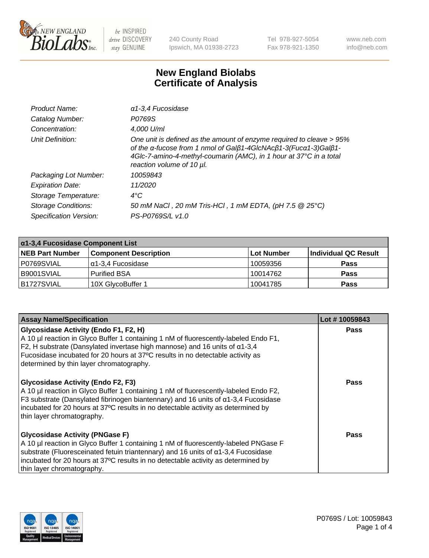

240 County Road Ipswich, MA 01938-2723 Tel 978-927-5054 Fax 978-921-1350 www.neb.com info@neb.com

## **New England Biolabs Certificate of Analysis**

| $\alpha$ 1-3,4 Fucosidase                                                                                                                                                                                                                  |
|--------------------------------------------------------------------------------------------------------------------------------------------------------------------------------------------------------------------------------------------|
| P0769S                                                                                                                                                                                                                                     |
| 4,000 U/ml                                                                                                                                                                                                                                 |
| One unit is defined as the amount of enzyme required to cleave > 95%<br>of the a-fucose from 1 nmol of Galß1-4GIcNAcß1-3(Fuca1-3)Galß1-<br>4Glc-7-amino-4-methyl-coumarin (AMC), in 1 hour at 37°C in a total<br>reaction volume of 10 µl. |
| 10059843                                                                                                                                                                                                                                   |
| 11/2020                                                                                                                                                                                                                                    |
| $4^{\circ}$ C                                                                                                                                                                                                                              |
| 50 mM NaCl, 20 mM Tris-HCl, 1 mM EDTA, (pH 7.5 @ 25°C)                                                                                                                                                                                     |
| PS-P0769S/L v1.0                                                                                                                                                                                                                           |
|                                                                                                                                                                                                                                            |

| $\alpha$ 1-3,4 Fucosidase Component List |                              |             |                      |  |
|------------------------------------------|------------------------------|-------------|----------------------|--|
| <b>NEB Part Number</b>                   | <b>Component Description</b> | ∣Lot Number | Individual QC Result |  |
| P0769SVIAL                               | l α1-3.4 Fucosidase          | 10059356    | <b>Pass</b>          |  |
| B9001SVIAL                               | <b>Purified BSA</b>          | 10014762    | <b>Pass</b>          |  |
| B1727SVIAL                               | 10X GlycoBuffer 1            | 10041785    | <b>Pass</b>          |  |

| <b>Assay Name/Specification</b>                                                                                                                                                                                                                                                                                                                          | Lot #10059843 |
|----------------------------------------------------------------------------------------------------------------------------------------------------------------------------------------------------------------------------------------------------------------------------------------------------------------------------------------------------------|---------------|
| <b>Glycosidase Activity (Endo F1, F2, H)</b><br>A 10 µl reaction in Glyco Buffer 1 containing 1 nM of fluorescently-labeled Endo F1,<br>F2, H substrate (Dansylated invertase high mannose) and 16 units of $\alpha$ 1-3,4<br>Fucosidase incubated for 20 hours at 37°C results in no detectable activity as<br>determined by thin layer chromatography. | <b>Pass</b>   |
| <b>Glycosidase Activity (Endo F2, F3)</b><br>A 10 µl reaction in Glyco Buffer 1 containing 1 nM of fluorescently-labeled Endo F2,<br>F3 substrate (Dansylated fibrinogen biantennary) and 16 units of $\alpha$ 1-3,4 Fucosidase<br>incubated for 20 hours at 37°C results in no detectable activity as determined by<br>thin layer chromatography.       | Pass          |
| <b>Glycosidase Activity (PNGase F)</b><br>A 10 µl reaction in Glyco Buffer 1 containing 1 nM of fluorescently-labeled PNGase F<br>substrate (Fluoresceinated fetuin triantennary) and 16 units of $\alpha$ 1-3,4 Fucosidase<br>incubated for 20 hours at 37°C results in no detectable activity as determined by<br>thin layer chromatography.           | Pass          |

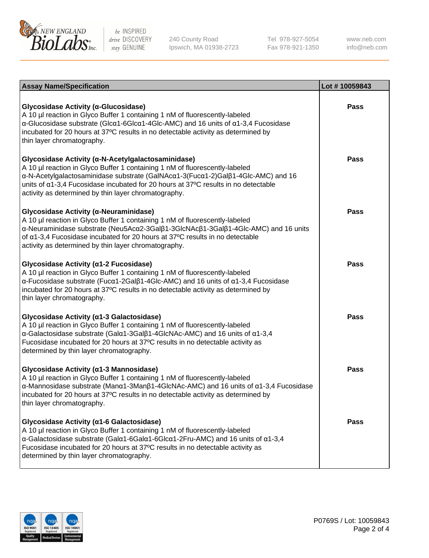

240 County Road Ipswich, MA 01938-2723 Tel 978-927-5054 Fax 978-921-1350

www.neb.com info@neb.com

| <b>Assay Name/Specification</b>                                                                                                                                                                                                                                                                                                                                     | Lot #10059843 |
|---------------------------------------------------------------------------------------------------------------------------------------------------------------------------------------------------------------------------------------------------------------------------------------------------------------------------------------------------------------------|---------------|
| Glycosidase Activity (α-Glucosidase)<br>A 10 µl reaction in Glyco Buffer 1 containing 1 nM of fluorescently-labeled<br>$\alpha$ -Glucosidase substrate (Glc $\alpha$ 1-6Glc $\alpha$ 1-4Glc-AMC) and 16 units of $\alpha$ 1-3,4 Fucosidase<br>incubated for 20 hours at 37°C results in no detectable activity as determined by<br>thin layer chromatography.       | Pass          |
| Glycosidase Activity (α-N-Acetylgalactosaminidase)<br>A 10 µl reaction in Glyco Buffer 1 containing 1 nM of fluorescently-labeled<br>α-N-Acetylgalactosaminidase substrate (GalNAcα1-3(Fucα1-2)Galβ1-4Glc-AMC) and 16<br>units of a1-3,4 Fucosidase incubated for 20 hours at 37°C results in no detectable<br>activity as determined by thin layer chromatography. | Pass          |
| Glycosidase Activity (α-Neuraminidase)<br>A 10 µl reaction in Glyco Buffer 1 containing 1 nM of fluorescently-labeled<br>α-Neuraminidase substrate (Neu5Acα2-3Galβ1-3GlcNAcβ1-3Galβ1-4Glc-AMC) and 16 units<br>of α1-3,4 Fucosidase incubated for 20 hours at 37°C results in no detectable<br>activity as determined by thin layer chromatography.                 | <b>Pass</b>   |
| Glycosidase Activity (α1-2 Fucosidase)<br>A 10 µl reaction in Glyco Buffer 1 containing 1 nM of fluorescently-labeled<br>$\alpha$ -Fucosidase substrate (Fuc $\alpha$ 1-2Gal $\beta$ 1-4Glc-AMC) and 16 units of $\alpha$ 1-3,4 Fucosidase<br>incubated for 20 hours at 37°C results in no detectable activity as determined by<br>thin layer chromatography.       | <b>Pass</b>   |
| Glycosidase Activity (a1-3 Galactosidase)<br>A 10 µl reaction in Glyco Buffer 1 containing 1 nM of fluorescently-labeled<br>α-Galactosidase substrate (Galα1-3Galβ1-4GlcNAc-AMC) and 16 units of α1-3,4<br>Fucosidase incubated for 20 hours at 37°C results in no detectable activity as<br>determined by thin layer chromatography.                               | <b>Pass</b>   |
| Glycosidase Activity (a1-3 Mannosidase)<br>A 10 µl reaction in Glyco Buffer 1 containing 1 nM of fluorescently-labeled<br>α-Mannosidase substrate (Manα1-3Manβ1-4GlcNAc-AMC) and 16 units of α1-3,4 Fucosidase<br>incubated for 20 hours at 37°C results in no detectable activity as determined by<br>thin layer chromatography.                                   | <b>Pass</b>   |
| Glycosidase Activity (α1-6 Galactosidase)<br>A 10 µl reaction in Glyco Buffer 1 containing 1 nM of fluorescently-labeled<br>α-Galactosidase substrate (Galα1-6Galα1-6Glcα1-2Fru-AMC) and 16 units of α1-3,4<br>Fucosidase incubated for 20 hours at 37°C results in no detectable activity as<br>determined by thin layer chromatography.                           | Pass          |

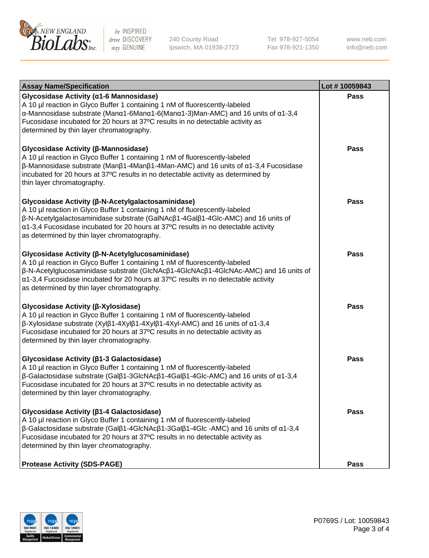

240 County Road Ipswich, MA 01938-2723 Tel 978-927-5054 Fax 978-921-1350 www.neb.com info@neb.com

| <b>Assay Name/Specification</b>                                                                                                                                                                                                                                                                                                                                                   | Lot #10059843 |
|-----------------------------------------------------------------------------------------------------------------------------------------------------------------------------------------------------------------------------------------------------------------------------------------------------------------------------------------------------------------------------------|---------------|
| Glycosidase Activity (a1-6 Mannosidase)<br>A 10 µl reaction in Glyco Buffer 1 containing 1 nM of fluorescently-labeled<br>α-Mannosidase substrate (Manα1-6Manα1-6(Manα1-3)Man-AMC) and 16 units of α1-3,4<br>Fucosidase incubated for 20 hours at 37°C results in no detectable activity as<br>determined by thin layer chromatography.                                           | <b>Pass</b>   |
| Glycosidase Activity (β-Mannosidase)<br>A 10 µl reaction in Glyco Buffer 1 containing 1 nM of fluorescently-labeled<br>$\beta$ -Mannosidase substrate (Μanβ1-4Μanβ1-4Μan-AMC) and 16 units of α1-3,4 Fucosidase<br>incubated for 20 hours at 37°C results in no detectable activity as determined by<br>thin layer chromatography.                                                | <b>Pass</b>   |
| Glycosidase Activity (β-N-Acetylgalactosaminidase)<br>A 10 µl reaction in Glyco Buffer 1 containing 1 nM of fluorescently-labeled<br>$\beta$ -N-Acetylgalactosaminidase substrate (GalNAc $\beta$ 1-4Gal $\beta$ 1-4Glc-AMC) and 16 units of<br>α1-3,4 Fucosidase incubated for 20 hours at 37°C results in no detectable activity<br>as determined by thin layer chromatography. | <b>Pass</b>   |
| Glycosidase Activity (β-N-Acetylglucosaminidase)<br>A 10 µl reaction in Glyco Buffer 1 containing 1 nM of fluorescently-labeled<br>β-N-Acetylglucosaminidase substrate (GlcNAcβ1-4GlcNAcβ1-4GlcNAc-AMC) and 16 units of<br>α1-3,4 Fucosidase incubated for 20 hours at 37°C results in no detectable activity<br>as determined by thin layer chromatography.                      | Pass          |
| Glycosidase Activity (β-Xylosidase)<br>A 10 µl reaction in Glyco Buffer 1 containing 1 nM of fluorescently-labeled<br>$\beta$ -Xylosidase substrate (Xylβ1-4Xylβ1-4Xylβ1-4Xyl-AMC) and 16 units of $\alpha$ 1-3,4<br>Fucosidase incubated for 20 hours at 37°C results in no detectable activity as<br>determined by thin layer chromatography.                                   | <b>Pass</b>   |
| Glycosidase Activity (β1-3 Galactosidase)<br>A 10 µl reaction in Glyco Buffer 1 containing 1 nM of fluorescently-labeled<br>$\beta$ -Galactosidase substrate (Galβ1-3GlcNAcβ1-4Galβ1-4Glc-AMC) and 16 units of α1-3,4<br>Fucosidase incubated for 20 hours at 37°C results in no detectable activity as<br>determined by thin layer chromatography.                               | <b>Pass</b>   |
| Glycosidase Activity (ß1-4 Galactosidase)<br>A 10 µl reaction in Glyco Buffer 1 containing 1 nM of fluorescently-labeled<br>$\beta$ -Galactosidase substrate (Galβ1-4GlcNAcβ1-3Galβ1-4Glc -AMC) and 16 units of α1-3,4<br>Fucosidase incubated for 20 hours at 37°C results in no detectable activity as<br>determined by thin layer chromatography.                              | Pass          |
| <b>Protease Activity (SDS-PAGE)</b>                                                                                                                                                                                                                                                                                                                                               | <b>Pass</b>   |